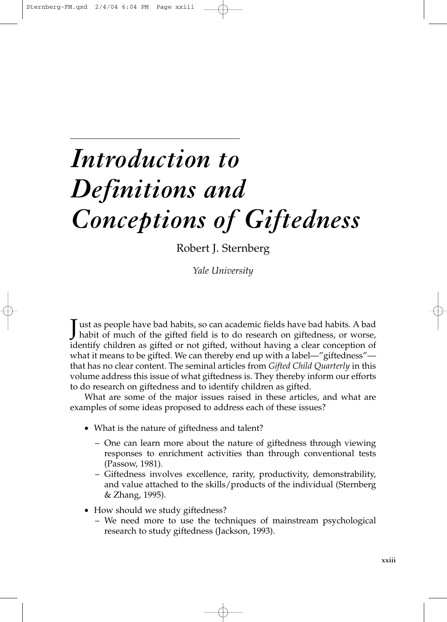## *Introduction to Definitions and Conceptions of Giftedness*

Robert J. Sternberg

*Yale University*

Just as people have bad habits, so can academic fields have bad habits. A bad habit of much of the gifted field is to do research on giftedness, or worse, identify children as gifted or not gifted, without having a clear conception of what it means to be gifted. We can thereby end up with a label—"giftedness" that has no clear content. The seminal articles from *Gifted Child Quarterly* in this volume address this issue of what giftedness is. They thereby inform our efforts to do research on giftedness and to identify children as gifted.

What are some of the major issues raised in these articles, and what are examples of some ideas proposed to address each of these issues?

- What is the nature of giftedness and talent?
	- One can learn more about the nature of giftedness through viewing responses to enrichment activities than through conventional tests (Passow, 1981).
	- Giftedness involves excellence, rarity, productivity, demonstrability, and value attached to the skills/products of the individual (Sternberg & Zhang, 1995).
- How should we study giftedness?
	- We need more to use the techniques of mainstream psychological research to study giftedness (Jackson, 1993).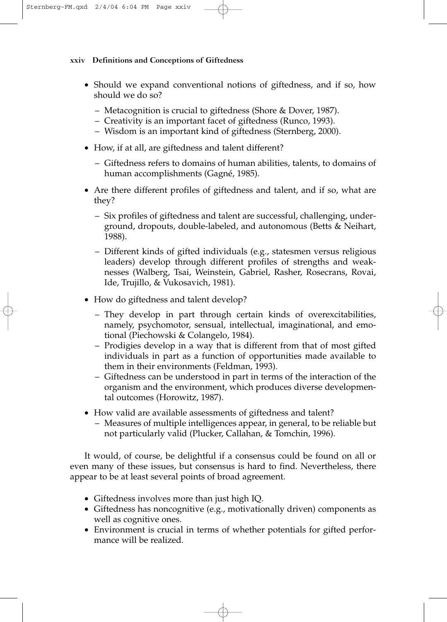## **xxiv Definitions and Conceptions of Giftedness**

- Should we expand conventional notions of giftedness, and if so, how should we do so?
	- Metacognition is crucial to giftedness (Shore & Dover, 1987).
	- Creativity is an important facet of giftedness (Runco, 1993).
	- Wisdom is an important kind of giftedness (Sternberg, 2000).
- How, if at all, are giftedness and talent different?
	- Giftedness refers to domains of human abilities, talents, to domains of human accomplishments (Gagné, 1985).
- Are there different profiles of giftedness and talent, and if so, what are they?
	- Six profiles of giftedness and talent are successful, challenging, underground, dropouts, double-labeled, and autonomous (Betts & Neihart, 1988).
	- Different kinds of gifted individuals (e.g., statesmen versus religious leaders) develop through different profiles of strengths and weaknesses (Walberg, Tsai, Weinstein, Gabriel, Rasher, Rosecrans, Rovai, Ide, Trujillo, & Vukosavich, 1981).
- How do giftedness and talent develop?
	- They develop in part through certain kinds of overexcitabilities, namely, psychomotor, sensual, intellectual, imaginational, and emotional (Piechowski & Colangelo, 1984).
	- Prodigies develop in a way that is different from that of most gifted individuals in part as a function of opportunities made available to them in their environments (Feldman, 1993).
	- Giftedness can be understood in part in terms of the interaction of the organism and the environment, which produces diverse developmental outcomes (Horowitz, 1987).
- How valid are available assessments of giftedness and talent?
	- Measures of multiple intelligences appear, in general, to be reliable but not particularly valid (Plucker, Callahan, & Tomchin, 1996).

It would, of course, be delightful if a consensus could be found on all or even many of these issues, but consensus is hard to find. Nevertheless, there appear to be at least several points of broad agreement.

- Giftedness involves more than just high IQ.
- Giftedness has noncognitive (e.g., motivationally driven) components as well as cognitive ones.
- Environment is crucial in terms of whether potentials for gifted performance will be realized.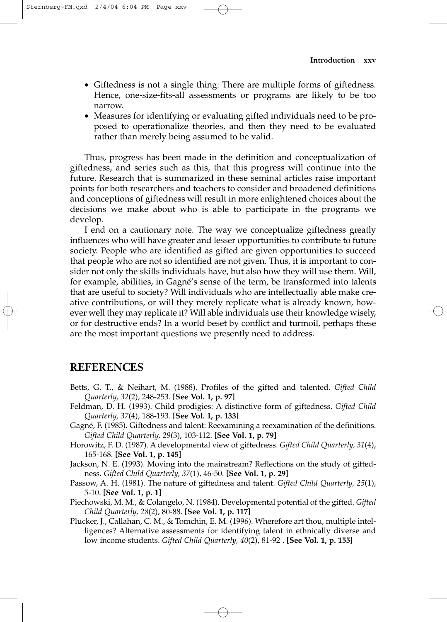- Giftedness is not a single thing: There are multiple forms of giftedness. Hence, one-size-fits-all assessments or programs are likely to be too narrow.
- Measures for identifying or evaluating gifted individuals need to be proposed to operationalize theories, and then they need to be evaluated rather than merely being assumed to be valid.

Thus, progress has been made in the definition and conceptualization of giftedness, and series such as this, that this progress will continue into the future. Research that is summarized in these seminal articles raise important points for both researchers and teachers to consider and broadened definitions and conceptions of giftedness will result in more enlightened choices about the decisions we make about who is able to participate in the programs we develop.

I end on a cautionary note. The way we conceptualize giftedness greatly influences who will have greater and lesser opportunities to contribute to future society. People who are identified as gifted are given opportunities to succeed that people who are not so identified are not given. Thus, it is important to consider not only the skills individuals have, but also how they will use them. Will, for example, abilities, in Gagné's sense of the term, be transformed into talents that are useful to society? Will individuals who are intellectually able make creative contributions, or will they merely replicate what is already known, however well they may replicate it? Will able individuals use their knowledge wisely, or for destructive ends? In a world beset by conflict and turmoil, perhaps these are the most important questions we presently need to address.

## **REFERENCES**

- Betts, G. T., & Neihart, M. (1988). Profiles of the gifted and talented. *Gifted Child Quarterly, 32*(2), 248-253. **[See Vol. 1, p. 97]**
- Feldman, D. H. (1993). Child prodigies: A distinctive form of giftedness. *Gifted Child Quarterly, 37*(4), 188-193. **[See Vol. 1, p. 133]**
- Gagné, F. (1985). Giftedness and talent: Reexamining a reexamination of the definitions. *Gifted Child Quarterly, 29*(3), 103-112. **[See Vol. 1, p. 79]**
- Horowitz, F. D. (1987). A developmental view of giftedness. *Gifted Child Quarterly, 31*(4), 165-168. **[See Vol. 1, p. 145]**
- Jackson, N. E. (1993). Moving into the mainstream? Reflections on the study of giftedness. *Gifted Child Quarterly, 37*(1), 46-50. **[See Vol. 1, p. 29]**
- Passow, A. H. (1981). The nature of giftedness and talent. *Gifted Child Quarterly, 25*(1), 5-10. **[See Vol. 1, p. 1]**
- Piechowski, M. M., & Colangelo, N. (1984). Developmental potential of the gifted. *Gifted Child Quarterly, 28*(2), 80-88. **[See Vol. 1, p. 117]**
- Plucker, J., Callahan, C. M., & Tomchin, E. M. (1996). Wherefore art thou, multiple intelligences? Alternative assessments for identifying talent in ethnically diverse and low income students. *Gifted Child Quarterly, 40*(2), 81-92 . **[See Vol. 1, p. 155]**